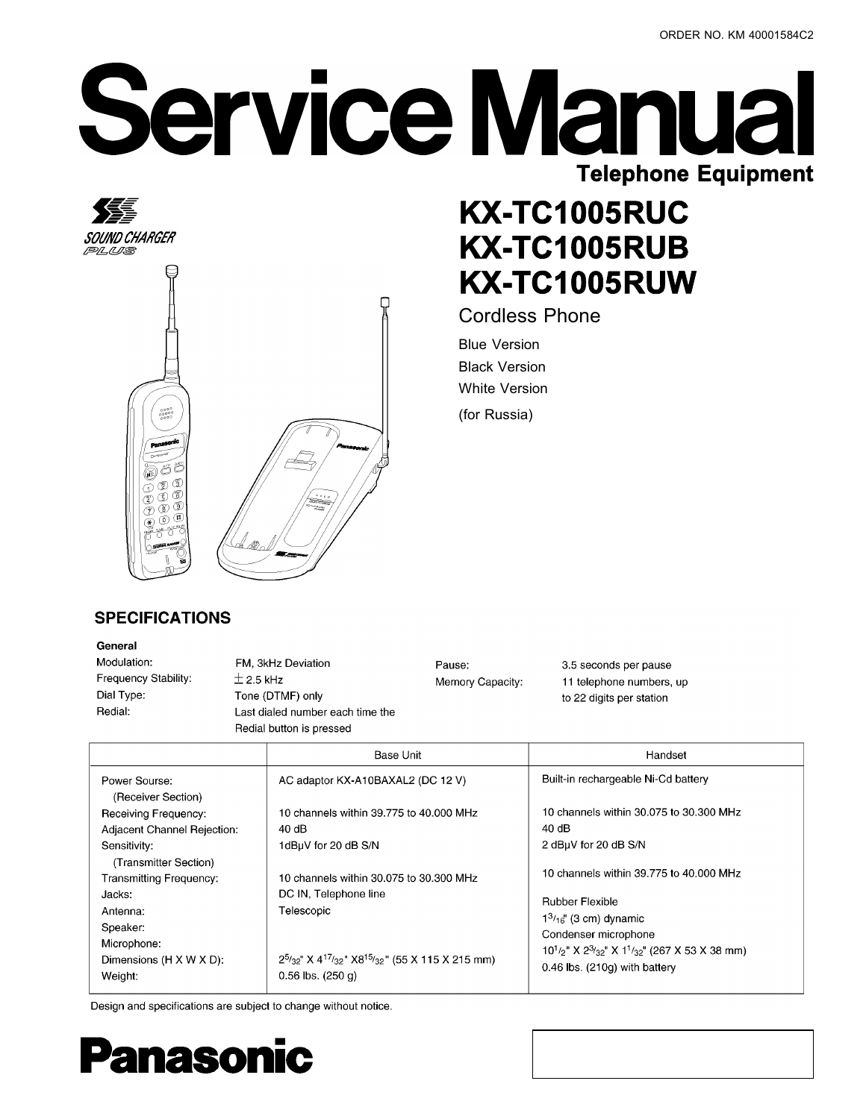# **Service Manual Telephone Equipment**

## **KX-TC1005RUC KX-TC1005RUB KX-TC1005RUW**

**Cordless Phone** 

**Blue Version Black Version White Version** (for Russia)

#### **SPECIFICATIONS**

 $0000$ <br>00000

খি  $\mathcal{E}$ 6 Œ. 0 (8)

#### General

缓

PLUS

SOUND CHARGER

Modulation: Frequency Stability: Dial Type: Redial:

FM, 3kHz Deviation  $\pm$  2.5 kHz Tone (DTMF) only Last dialed number each time the Redial button is pressed

Pause: Memory Capacity: 3.5 seconds per pause 11 telephone numbers, up to 22 digits per station

|                                                     | <b>Base Unit</b>                                                                                      | Handset                                                                                                                 |  |
|-----------------------------------------------------|-------------------------------------------------------------------------------------------------------|-------------------------------------------------------------------------------------------------------------------------|--|
| Power Sourse:<br>(Receiver Section)                 | AC adaptor KX-A10BAXAL2 (DC 12 V)                                                                     | Built-in rechargeable Ni-Cd battery                                                                                     |  |
| Receiving Frequency:<br>Adjacent Channel Rejection: | 10 channels within 39 775 to 40,000 MHz<br>40 dB                                                      | 10 channels within 30.075 to 30.300 MHz<br>40 dB                                                                        |  |
| Sensitivity:<br>(Transmitter Section)               | 1dBuV for 20 dB S/N                                                                                   | 2 dBuV for 20 dB S/N<br>10 channels within 39.775 to 40.000 MHz                                                         |  |
| Transmitting Frequency:<br>Jacks:<br>Antenna:       | 10 channels within 30.075 to 30.300 MHz<br>DC IN, Telephone line<br>Telescopic                        | <b>Rubber Flexible</b>                                                                                                  |  |
| Speaker:<br>Microphone:                             |                                                                                                       | $1^{3}/_{16}$ " (3 cm) dynamic<br>Condenser microphone<br>$10^{1/2}$ " X $2^{3/32}$ " X $1^{1/32}$ " (267 X 53 X 38 mm) |  |
| Dimensions (H X W X D):<br>Weight:                  | $2^{5/32}$ " X 4 <sup>17</sup> /32" X8 <sup>15</sup> /32" (55 X 115 X 215 mm)<br>$0.56$ lbs. $(250q)$ | $0.46$ lbs. $(210g)$ with battery                                                                                       |  |

Design and specifications are subject to change without notice.

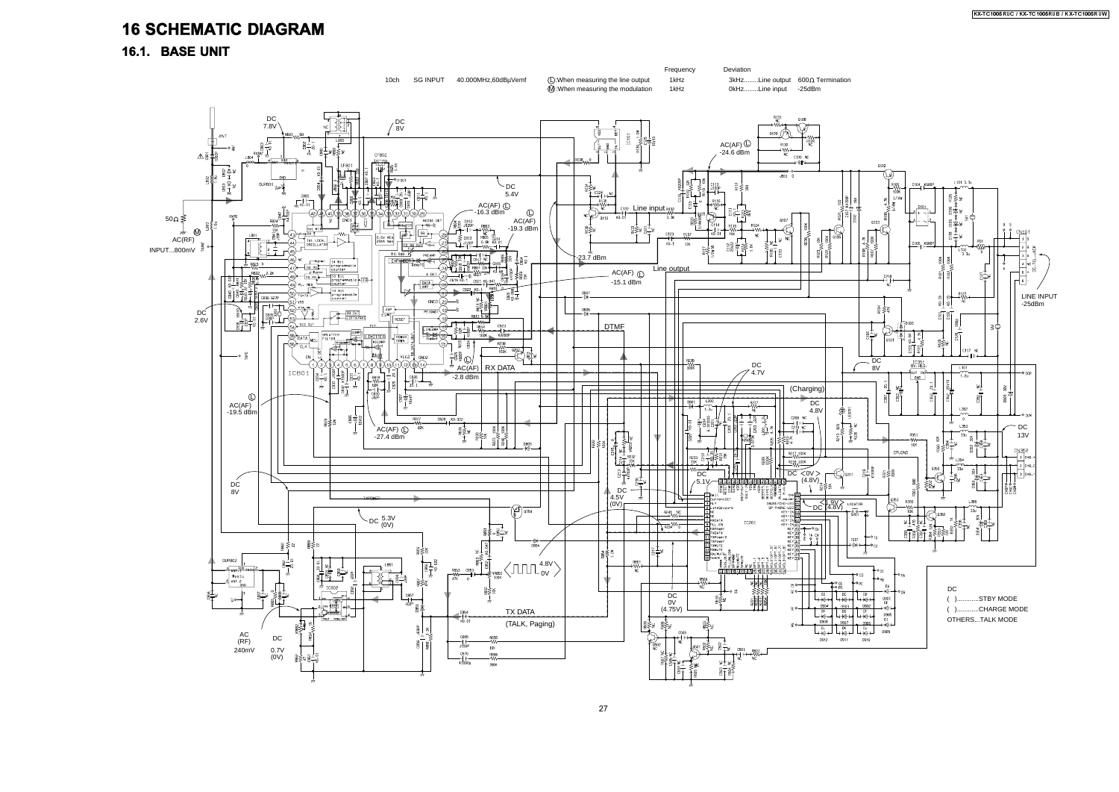### **16 SCHEMATIC DIAGRAM**

16.1. BASE UNIT

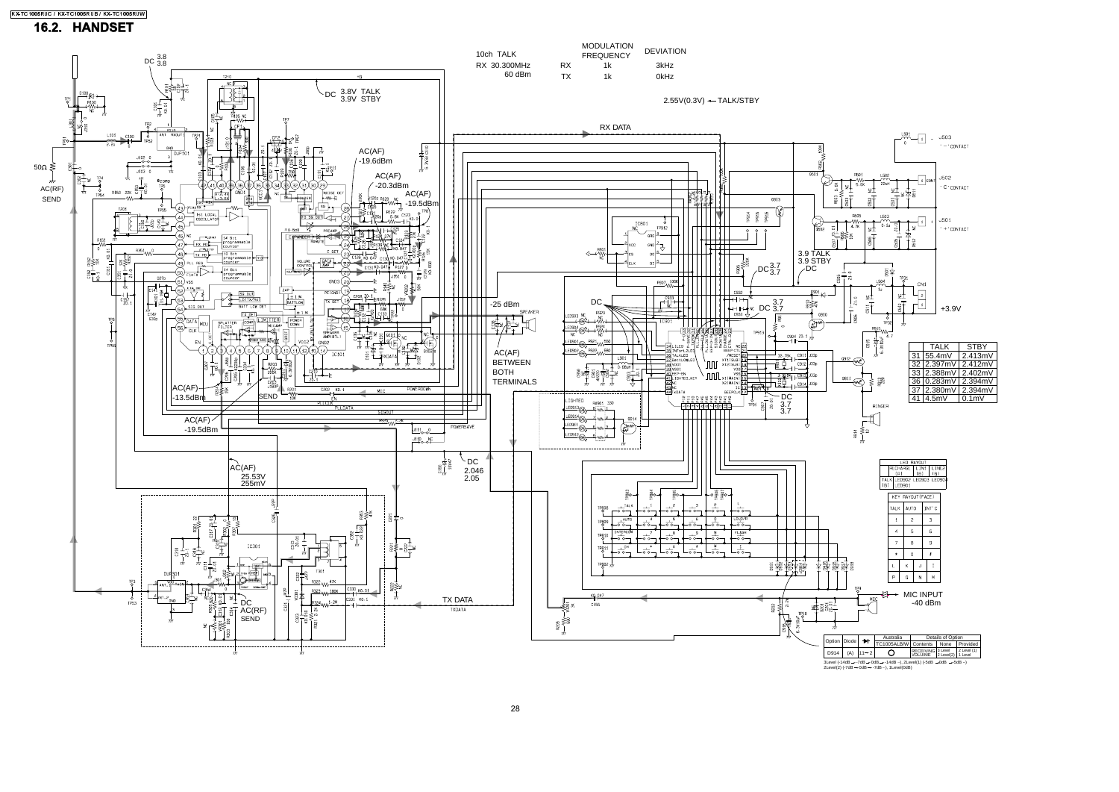

|     | a— міс іnpuт |         |  |
|-----|--------------|---------|--|
| MIC |              | -40 dBm |  |
|     |              |         |  |

| $Diode$ $\rightarrow$                                                                                                   |                        | Australia                          | Details of Option                                           |  |  |  |  |  |
|-------------------------------------------------------------------------------------------------------------------------|------------------------|------------------------------------|-------------------------------------------------------------|--|--|--|--|--|
|                                                                                                                         |                        | TC1005ALB/W Contents None Provided |                                                             |  |  |  |  |  |
|                                                                                                                         | (A) $11 \rightarrow 2$ | O                                  | RECEIVING 3 Level 2 Level (1)<br>VOLUIME 2 Level(2) 1 Level |  |  |  |  |  |
| dB - - -7dB - - 0dB - - - 14dB - - ), 2Level(1) (-5dB - - 0dB - - - 5dB - - )<br>7dB - 0dB - - 7dB - - ), 1 Level (0dB) |                        |                                    |                                                             |  |  |  |  |  |

#### 16.2. HANDSET